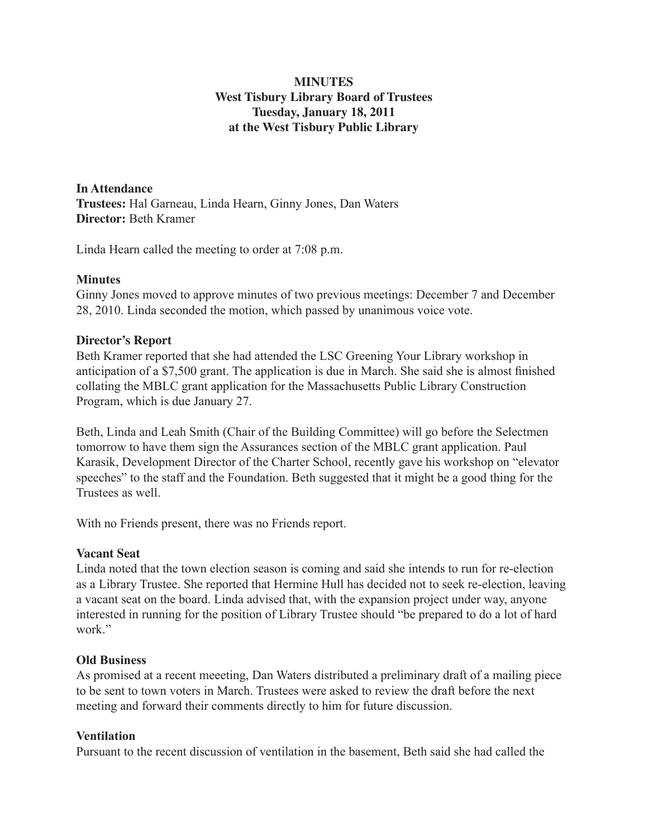# **MINUTES West Tisbury Library Board of Trustees Tuesday, January 18, 2011 at the West Tisbury Public Library**

**In Attendance Trustees:** Hal Garneau, Linda Hearn, Ginny Jones, Dan Waters **Director:** Beth Kramer

Linda Hearn called the meeting to order at 7:08 p.m.

### **Minutes**

Ginny Jones moved to approve minutes of two previous meetings: December 7 and December 28, 2010. Linda seconded the motion, which passed by unanimous voice vote.

#### **Director's Report**

Beth Kramer reported that she had attended the LSC Greening Your Library workshop in anticipation of a \$7,500 grant. The application is due in March. She said she is almost finished collating the MBLC grant application for the Massachusetts Public Library Construction Program, which is due January 27.

Beth, Linda and Leah Smith (Chair of the Building Committee) will go before the Selectmen tomorrow to have them sign the Assurances section of the MBLC grant application. Paul Karasik, Development Director of the Charter School, recently gave his workshop on "elevator speeches" to the staff and the Foundation. Beth suggested that it might be a good thing for the Trustees as well.

With no Friends present, there was no Friends report.

## **Vacant Seat**

Linda noted that the town election season is coming and said she intends to run for re-election as a Library Trustee. She reported that Hermine Hull has decided not to seek re-election, leaving a vacant seat on the board. Linda advised that, with the expansion project under way, anyone interested in running for the position of Library Trustee should "be prepared to do a lot of hard work."

#### **Old Business**

As promised at a recent meeeting, Dan Waters distributed a preliminary draft of a mailing piece to be sent to town voters in March. Trustees were asked to review the draft before the next meeting and forward their comments directly to him for future discussion.

#### **Ventilation**

Pursuant to the recent discussion of ventilation in the basement, Beth said she had called the